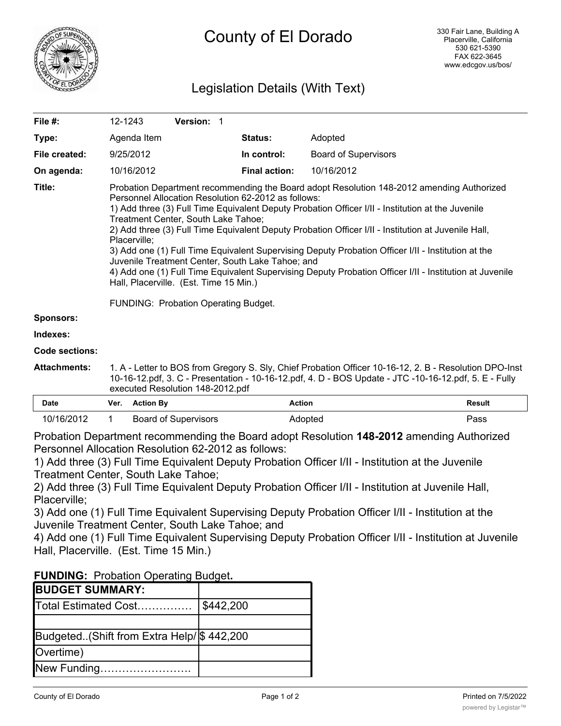

# Legislation Details (With Text)

| File #:          | 12-1243                                                                                                                                                                                                                                                                                                                                                                                                                                                                                                                                                                                                                                                                                                                                                                    | Version: 1 |                      |                             |
|------------------|----------------------------------------------------------------------------------------------------------------------------------------------------------------------------------------------------------------------------------------------------------------------------------------------------------------------------------------------------------------------------------------------------------------------------------------------------------------------------------------------------------------------------------------------------------------------------------------------------------------------------------------------------------------------------------------------------------------------------------------------------------------------------|------------|----------------------|-----------------------------|
| Type:            | Agenda Item                                                                                                                                                                                                                                                                                                                                                                                                                                                                                                                                                                                                                                                                                                                                                                |            | <b>Status:</b>       | Adopted                     |
| File created:    | 9/25/2012                                                                                                                                                                                                                                                                                                                                                                                                                                                                                                                                                                                                                                                                                                                                                                  |            | In control:          | <b>Board of Supervisors</b> |
| On agenda:       | 10/16/2012                                                                                                                                                                                                                                                                                                                                                                                                                                                                                                                                                                                                                                                                                                                                                                 |            | <b>Final action:</b> | 10/16/2012                  |
| Title:           | Probation Department recommending the Board adopt Resolution 148-2012 amending Authorized<br>Personnel Allocation Resolution 62-2012 as follows:<br>1) Add three (3) Full Time Equivalent Deputy Probation Officer I/II - Institution at the Juvenile<br>Treatment Center, South Lake Tahoe;<br>2) Add three (3) Full Time Equivalent Deputy Probation Officer I/II - Institution at Juvenile Hall,<br>Placerville;<br>3) Add one (1) Full Time Equivalent Supervising Deputy Probation Officer I/II - Institution at the<br>Juvenile Treatment Center, South Lake Tahoe; and<br>4) Add one (1) Full Time Equivalent Supervising Deputy Probation Officer I/II - Institution at Juvenile<br>Hall, Placerville. (Est. Time 15 Min.)<br>FUNDING: Probation Operating Budget. |            |                      |                             |
| <b>Sponsors:</b> |                                                                                                                                                                                                                                                                                                                                                                                                                                                                                                                                                                                                                                                                                                                                                                            |            |                      |                             |
| Indexes:         |                                                                                                                                                                                                                                                                                                                                                                                                                                                                                                                                                                                                                                                                                                                                                                            |            |                      |                             |

**Code sections:**

**Attachments:** 1. A - Letter to BOS from Gregory S. Sly, Chief Probation Officer 10-16-12, 2. B - Resolution DPO-Inst 10-16-12.pdf, 3. C - Presentation - 10-16-12.pdf, 4. D - BOS Update - JTC -10-16-12.pdf, 5. E - Fully executed Resolution 148-2012.pdf

| Date       | Ver. | <b>Action Bv</b>     | Action  | Result |
|------------|------|----------------------|---------|--------|
| 10/16/2012 |      | Board of Supervisors | Adopted | Pass   |

Probation Department recommending the Board adopt Resolution **148-2012** amending Authorized Personnel Allocation Resolution 62-2012 as follows:

1) Add three (3) Full Time Equivalent Deputy Probation Officer I/II - Institution at the Juvenile Treatment Center, South Lake Tahoe;

2) Add three (3) Full Time Equivalent Deputy Probation Officer I/II - Institution at Juvenile Hall, Placerville;

3) Add one (1) Full Time Equivalent Supervising Deputy Probation Officer I/II - Institution at the Juvenile Treatment Center, South Lake Tahoe; and

4) Add one (1) Full Time Equivalent Supervising Deputy Probation Officer I/II - Institution at Juvenile Hall, Placerville. (Est. Time 15 Min.)

| <b>FUNDING: Probation Operating Budget.</b> |
|---------------------------------------------|
|---------------------------------------------|

Savings…………………………..

| <b>IBUDGET SUMMARY:</b>                     |           |
|---------------------------------------------|-----------|
| Total Estimated Cost                        | \$442,200 |
|                                             |           |
| Budgeted. (Shift from Extra Help/ \$442,200 |           |
| Overtime)                                   |           |
| New Funding                                 |           |